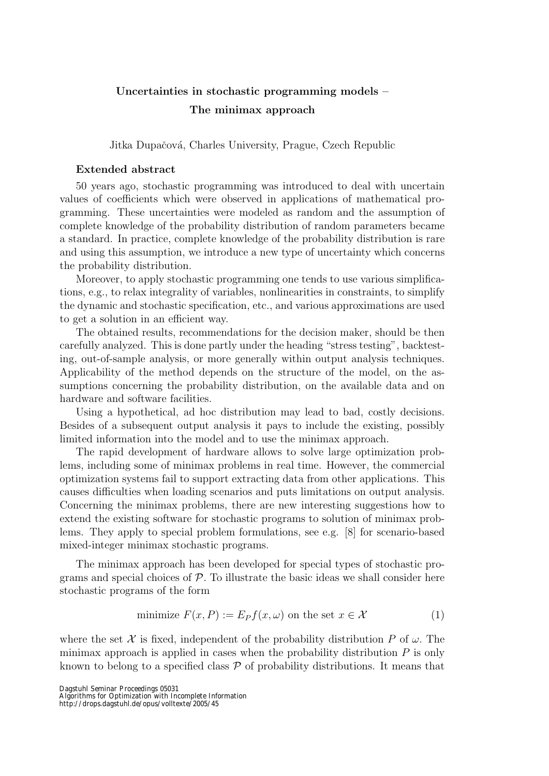## Uncertainties in stochastic programming models – The minimax approach

Jitka Dupačová, Charles University, Prague, Czech Republic

## Extended abstract

50 years ago, stochastic programming was introduced to deal with uncertain values of coefficients which were observed in applications of mathematical programming. These uncertainties were modeled as random and the assumption of complete knowledge of the probability distribution of random parameters became a standard. In practice, complete knowledge of the probability distribution is rare and using this assumption, we introduce a new type of uncertainty which concerns the probability distribution.

Moreover, to apply stochastic programming one tends to use various simplifications, e.g., to relax integrality of variables, nonlinearities in constraints, to simplify the dynamic and stochastic specification, etc., and various approximations are used to get a solution in an efficient way.

The obtained results, recommendations for the decision maker, should be then carefully analyzed. This is done partly under the heading "stress testing", backtesting, out-of-sample analysis, or more generally within output analysis techniques. Applicability of the method depends on the structure of the model, on the assumptions concerning the probability distribution, on the available data and on hardware and software facilities.

Using a hypothetical, ad hoc distribution may lead to bad, costly decisions. Besides of a subsequent output analysis it pays to include the existing, possibly limited information into the model and to use the minimax approach.

The rapid development of hardware allows to solve large optimization problems, including some of minimax problems in real time. However, the commercial optimization systems fail to support extracting data from other applications. This causes difficulties when loading scenarios and puts limitations on output analysis. Concerning the minimax problems, there are new interesting suggestions how to extend the existing software for stochastic programs to solution of minimax problems. They apply to special problem formulations, see e.g. [8] for scenario-based mixed-integer minimax stochastic programs.

The minimax approach has been developed for special types of stochastic programs and special choices of  $P$ . To illustrate the basic ideas we shall consider here stochastic programs of the form

minimize 
$$
F(x, P) := E_P f(x, \omega)
$$
 on the set  $x \in \mathcal{X}$  (1)

where the set X is fixed, independent of the probability distribution P of  $\omega$ . The minimax approach is applied in cases when the probability distribution  $P$  is only known to belong to a specified class  $P$  of probability distributions. It means that

Dagstuhl Seminar Proceedings 05031

Algorithms for Optimization with Incomplete Information

http://drops.dagstuhl.de/opus/volltexte/2005/45